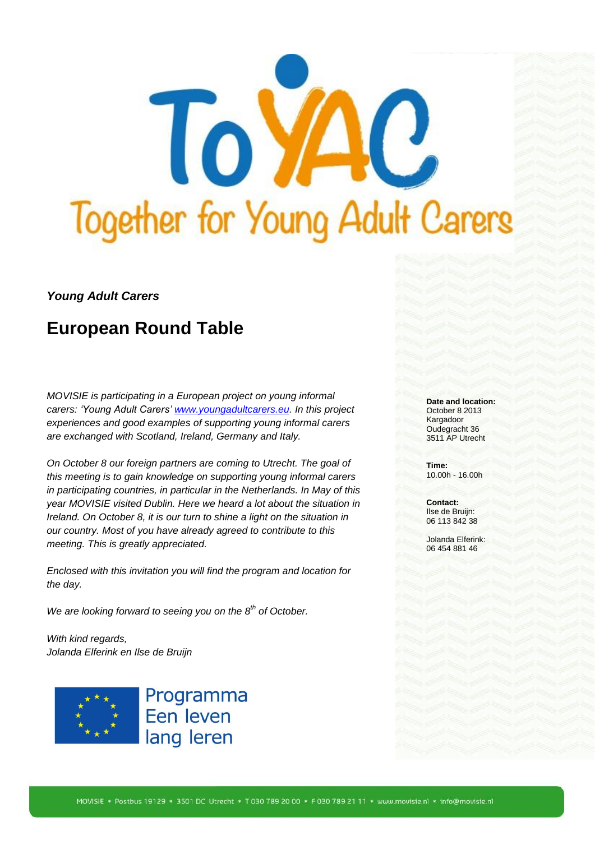

## *Young Adult Carers*

# **European Round Table**

*MOVISIE is participating in a European project on young informal carers: 'Young Adult Carers' [www.youngadultcarers.eu.](http://www.youngadultcarers.eu/) In this project experiences and good examples of supporting young informal carers are exchanged with Scotland, Ireland, Germany and Italy.* 

*On October 8 our foreign partners are coming to Utrecht. The goal of this meeting is to gain knowledge on supporting young informal carers in participating countries, in particular in the Netherlands. In May of this year MOVISIE visited Dublin. Here we heard a lot about the situation in Ireland. On October 8, it is our turn to shine a light on the situation in our country. Most of you have already agreed to contribute to this meeting. This is greatly appreciated.* 

*Enclosed with this invitation you will find the program and location for the day.* 

*We are looking forward to seeing you on the 8th of October.* 

*With kind regards, Jolanda Elferink en Ilse de Bruijn*



Programma Een leven lang leren

#### **Date and location:** October 8 2013 Kargadoor Oudegracht 36 3511 AP Utrecht

**Time:** 10.00h - 16.00h

**Contact:** Ilse de Bruijn: 06 113 842 38

Jolanda Elferink: 06 454 881 46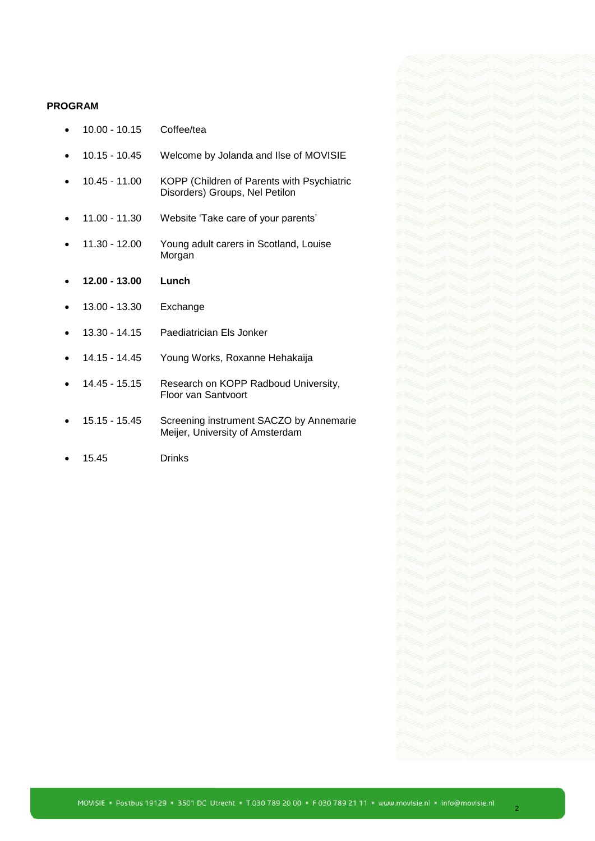#### **PROGRAM**

- 10.00 10.15 Coffee/tea
- 10.15 10.45 Welcome by Jolanda and Ilse of MOVISIE
- 10.45 11.00 KOPP (Children of Parents with Psychiatric Disorders) Groups, Nel Petilon
- 11.00 11.30 Website 'Take care of your parents'
- 11.30 12.00 Young adult carers in Scotland, Louise Morgan
- **12.00 - 13.00 Lunch**
- 13.00 13.30 Exchange
- 13.30 14.15 Paediatrician Els Jonker
- 14.15 14.45 Young Works, Roxanne Hehakaija
- 14.45 15.15 Research on KOPP Radboud University, Floor van Santvoort
- 15.15 15.45 Screening instrument SACZO by Annemarie Meijer, University of Amsterdam
- 15.45 Drinks